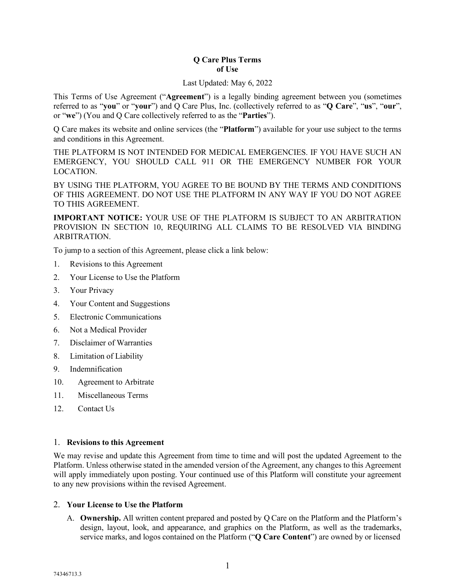### **Q Care Plus Terms of Use**

#### Last Updated: May 6, 2022

This Terms of Use Agreement ("**Agreement**") is a legally binding agreement between you (sometimes referred to as "**you**" or "**your**") and Q Care Plus, Inc. (collectively referred to as "**Q Care**", "**us**", "**our**", or "**we**") (You and Q Care collectively referred to as the "**Parties**").

Q Care makes its website and online services (the "**Platform**") available for your use subject to the terms and conditions in this Agreement.

THE PLATFORM IS NOT INTENDED FOR MEDICAL EMERGENCIES. IF YOU HAVE SUCH AN EMERGENCY, YOU SHOULD CALL 911 OR THE EMERGENCY NUMBER FOR YOUR LOCATION.

BY USING THE PLATFORM, YOU AGREE TO BE BOUND BY THE TERMS AND CONDITIONS OF THIS AGREEMENT. DO NOT USE THE PLATFORM IN ANY WAY IF YOU DO NOT AGREE TO THIS AGREEMENT.

**IMPORTANT NOTICE:** YOUR USE OF THE PLATFORM IS SUBJECT TO AN ARBITRATION PROVISION IN SECTION 10, REQUIRING ALL CLAIMS TO BE RESOLVED VIA BINDING ARBITRATION.

To jump to a section of this Agreement, please click a link below:

- 1. Revisions to this [Agreement](#page-0-0)
- 2. Your License to Use [the Platform](#page-0-1)
- 3. [Your Privacy](#page-2-0)
- 4. Your Content and [Suggestions](#page-2-1)
- 5. Electronic [Communications](#page-3-0)
- 6. Not a Medical Provider
- 7. [Disclaimer of](#page-3-1) Warranties
- 8. [Limitation](#page-3-2) of Liability
- 9. [Indemnification](#page-4-0)
- 10. [Agreement](#page-4-1) to Arbitrate
- 11. [Miscellaneous](#page-5-0) Terms
- 12. [Contact](#page-5-1) Us

### <span id="page-0-0"></span>1. **Revisions to this Agreement**

We may revise and update this Agreement from time to time and will post the updated Agreement to the Platform. Unless otherwise stated in the amended version of the Agreement, any changes to this Agreement will apply immediately upon posting. Your continued use of this Platform will constitute your agreement to any new provisions within the revised Agreement.

### <span id="page-0-1"></span>2. **Your License to Use the Platform**

A. **Ownership.** All written content prepared and posted by Q Care on the Platform and the Platform's design, layout, look, and appearance, and graphics on the Platform, as well as the trademarks, service marks, and logos contained on the Platform ("**Q Care Content**") are owned by or licensed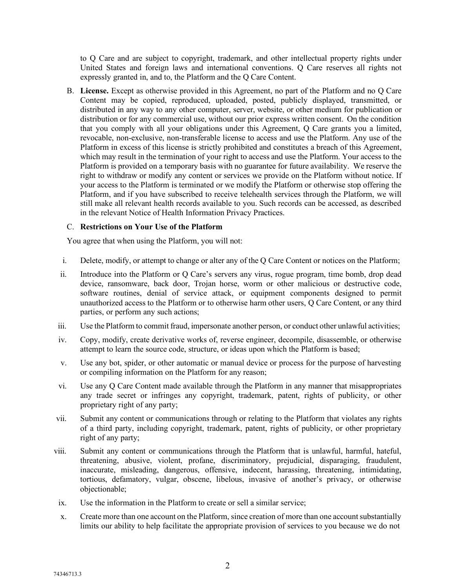to Q Care and are subject to copyright, trademark, and other intellectual property rights under United States and foreign laws and international conventions. Q Care reserves all rights not expressly granted in, and to, the Platform and the Q Care Content.

B. **License.** Except as otherwise provided in this Agreement, no part of the Platform and no Q Care Content may be copied, reproduced, uploaded, posted, publicly displayed, transmitted, or distributed in any way to any other computer, server, website, or other medium for publication or distribution or for any commercial use, without our prior express written consent. On the condition that you comply with all your obligations under this Agreement, Q Care grants you a limited, revocable, non-exclusive, non-transferable license to access and use the Platform. Any use of the Platform in excess of this license is strictly prohibited and constitutes a breach of this Agreement, which may result in the termination of your right to access and use the Platform. Your access to the Platform is provided on a temporary basis with no guarantee for future availability. We reserve the right to withdraw or modify any content or services we provide on the Platform without notice. If your access to the Platform is terminated or we modify the Platform or otherwise stop offering the Platform, and if you have subscribed to receive telehealth services through the Platform, we will still make all relevant health records available to you. Such records can be accessed, as described in the relevant Notice of Health Information Privacy Practices.

### C. **Restrictions on Your Use of the Platform**

You agree that when using the Platform, you will not:

- i. Delete, modify, or attempt to change or alter any of the Q Care Content or notices on the Platform;
- ii. Introduce into the Platform or Q Care's servers any virus, rogue program, time bomb, drop dead device, ransomware, back door, Trojan horse, worm or other malicious or destructive code, software routines, denial of service attack, or equipment components designed to permit unauthorized access to the Platform or to otherwise harm other users, Q Care Content, or any third parties, or perform any such actions;
- iii. Use the Platform to commit fraud, impersonate another person, or conduct other unlawful activities;
- iv. Copy, modify, create derivative works of, reverse engineer, decompile, disassemble, or otherwise attempt to learn the source code, structure, or ideas upon which the Platform is based;
- v. Use any bot, spider, or other automatic or manual device or process for the purpose of harvesting or compiling information on the Platform for any reason;
- vi. Use any Q Care Content made available through the Platform in any manner that misappropriates any trade secret or infringes any copyright, trademark, patent, rights of publicity, or other proprietary right of any party;
- vii. Submit any content or communications through or relating to the Platform that violates any rights of a third party, including copyright, trademark, patent, rights of publicity, or other proprietary right of any party;
- viii. Submit any content or communications through the Platform that is unlawful, harmful, hateful, threatening, abusive, violent, profane, discriminatory, prejudicial, disparaging, fraudulent, inaccurate, misleading, dangerous, offensive, indecent, harassing, threatening, intimidating, tortious, defamatory, vulgar, obscene, libelous, invasive of another's privacy, or otherwise objectionable;
- ix. Use the information in the Platform to create or sell a similar service;
- x. Create more than one account on the Platform, since creation of more than one account substantially limits our ability to help facilitate the appropriate provision of services to you because we do not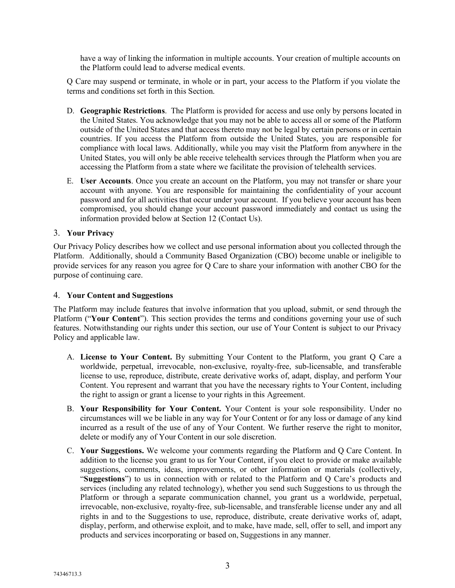have a way of linking the information in multiple accounts. Your creation of multiple accounts on the Platform could lead to adverse medical events.

Q Care may suspend or terminate, in whole or in part, your access to the Platform if you violate the terms and conditions set forth in this Section.

- D. **Geographic Restrictions**. The Platform is provided for access and use only by persons located in the United States. You acknowledge that you may not be able to access all or some of the Platform outside of the United States and that access thereto may not be legal by certain persons or in certain countries. If you access the Platform from outside the United States, you are responsible for compliance with local laws. Additionally, while you may visit the Platform from anywhere in the United States, you will only be able receive telehealth services through the Platform when you are accessing the Platform from a state where we facilitate the provision of telehealth services.
- E. **User Accounts**. Once you create an account on the Platform, you may not transfer or share your account with anyone. You are responsible for maintaining the confidentiality of your account password and for all activities that occur under your account. If you believe your account has been compromised, you should change your account password immediately and contact us using the information provided below at Section 12 (Contact Us).

### <span id="page-2-0"></span>3. **Your Privacy**

Our Privacy Policy describes how we collect and use personal information about you collected through the Platform. Additionally, should a Community Based Organization (CBO) become unable or ineligible to provide services for any reason you agree for Q Care to share your information with another CBO for the purpose of continuing care.

### <span id="page-2-1"></span>4. **Your Content and Suggestions**

The Platform may include features that involve information that you upload, submit, or send through the Platform ("**Your Content**"). This section provides the terms and conditions governing your use of such features. Notwithstanding our rights under this section, our use of Your Content is subject to our Privacy Policy and applicable law.

- A. **License to Your Content.** By submitting Your Content to the Platform, you grant Q Care a worldwide, perpetual, irrevocable, non-exclusive, royalty-free, sub-licensable, and transferable license to use, reproduce, distribute, create derivative works of, adapt, display, and perform Your Content. You represent and warrant that you have the necessary rights to Your Content, including the right to assign or grant a license to your rights in this Agreement.
- B. **Your Responsibility for Your Content.** Your Content is your sole responsibility. Under no circumstances will we be liable in any way for Your Content or for any loss or damage of any kind incurred as a result of the use of any of Your Content. We further reserve the right to monitor, delete or modify any of Your Content in our sole discretion.
- C. **Your Suggestions.** We welcome your comments regarding the Platform and Q Care Content. In addition to the license you grant to us for Your Content, if you elect to provide or make available suggestions, comments, ideas, improvements, or other information or materials (collectively, "**Suggestions**") to us in connection with or related to the Platform and Q Care's products and services (including any related technology), whether you send such Suggestions to us through the Platform or through a separate communication channel, you grant us a worldwide, perpetual, irrevocable, non-exclusive, royalty-free, sub-licensable, and transferable license under any and all rights in and to the Suggestions to use, reproduce, distribute, create derivative works of, adapt, display, perform, and otherwise exploit, and to make, have made, sell, offer to sell, and import any products and services incorporating or based on, Suggestions in any manner.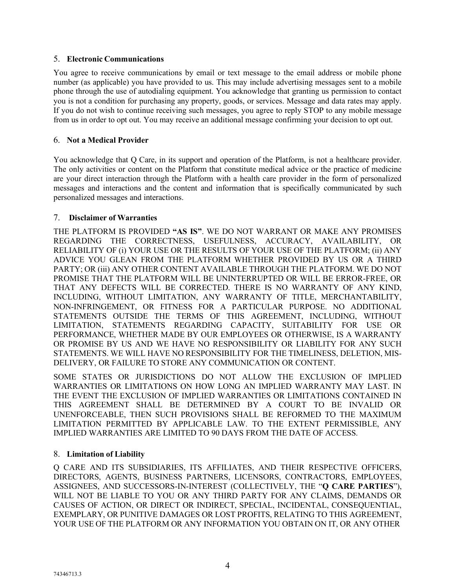# <span id="page-3-0"></span>5. **Electronic Communications**

You agree to receive communications by email or text message to the email address or mobile phone number (as applicable) you have provided to us. This may include advertising messages sent to a mobile phone through the use of autodialing equipment. You acknowledge that granting us permission to contact you is not a condition for purchasing any property, goods, or services. Message and data rates may apply. If you do not wish to continue receiving such messages, you agree to reply STOP to any mobile message from us in order to opt out. You may receive an additional message confirming your decision to opt out.

# 6. **Not a Medical Provider**

You acknowledge that Q Care, in its support and operation of the Platform, is not a healthcare provider. The only activities or content on the Platform that constitute medical advice or the practice of medicine are your direct interaction through the Platform with a health care provider in the form of personalized messages and interactions and the content and information that is specifically communicated by such personalized messages and interactions.

## <span id="page-3-1"></span>7. **Disclaimer of Warranties**

THE PLATFORM IS PROVIDED **"AS IS"**. WE DO NOT WARRANT OR MAKE ANY PROMISES REGARDING THE CORRECTNESS, USEFULNESS, ACCURACY, AVAILABILITY, OR RELIABILITY OF (i) YOUR USE OR THE RESULTS OF YOUR USE OF THE PLATFORM; (ii) ANY ADVICE YOU GLEAN FROM THE PLATFORM WHETHER PROVIDED BY US OR A THIRD PARTY; OR (iii) ANY OTHER CONTENT AVAILABLE THROUGH THE PLATFORM. WE DO NOT PROMISE THAT THE PLATFORM WILL BE UNINTERRUPTED OR WILL BE ERROR-FREE, OR THAT ANY DEFECTS WILL BE CORRECTED. THERE IS NO WARRANTY OF ANY KIND, INCLUDING, WITHOUT LIMITATION, ANY WARRANTY OF TITLE, MERCHANTABILITY, NON-INFRINGEMENT, OR FITNESS FOR A PARTICULAR PURPOSE. NO ADDITIONAL STATEMENTS OUTSIDE THE TERMS OF THIS AGREEMENT, INCLUDING, WITHOUT LIMITATION, STATEMENTS REGARDING CAPACITY, SUITABILITY FOR USE OR PERFORMANCE, WHETHER MADE BY OUR EMPLOYEES OR OTHERWISE, IS A WARRANTY OR PROMISE BY US AND WE HAVE NO RESPONSIBILITY OR LIABILITY FOR ANY SUCH STATEMENTS. WE WILL HAVE NO RESPONSIBILITY FOR THE TIMELINESS, DELETION, MIS-DELIVERY, OR FAILURE TO STORE ANY COMMUNICATION OR CONTENT.

SOME STATES OR JURISDICTIONS DO NOT ALLOW THE EXCLUSION OF IMPLIED WARRANTIES OR LIMITATIONS ON HOW LONG AN IMPLIED WARRANTY MAY LAST. IN THE EVENT THE EXCLUSION OF IMPLIED WARRANTIES OR LIMITATIONS CONTAINED IN THIS AGREEMENT SHALL BE DETERMINED BY A COURT TO BE INVALID OR UNENFORCEABLE, THEN SUCH PROVISIONS SHALL BE REFORMED TO THE MAXIMUM LIMITATION PERMITTED BY APPLICABLE LAW. TO THE EXTENT PERMISSIBLE, ANY IMPLIED WARRANTIES ARE LIMITED TO 90 DAYS FROM THE DATE OF ACCESS.

### <span id="page-3-2"></span>8. **Limitation of Liability**

Q CARE AND ITS SUBSIDIARIES, ITS AFFILIATES, AND THEIR RESPECTIVE OFFICERS, DIRECTORS, AGENTS, BUSINESS PARTNERS, LICENSORS, CONTRACTORS, EMPLOYEES, ASSIGNEES, AND SUCCESSORS-IN-INTEREST (COLLECTIVELY, THE "**Q CARE PARTIES**"), WILL NOT BE LIABLE TO YOU OR ANY THIRD PARTY FOR ANY CLAIMS, DEMANDS OR CAUSES OF ACTION, OR DIRECT OR INDIRECT, SPECIAL, INCIDENTAL, CONSEQUENTIAL, EXEMPLARY, OR PUNITIVE DAMAGES OR LOST PROFITS, RELATING TO THIS AGREEMENT, YOUR USE OF THE PLATFORM OR ANY INFORMATION YOU OBTAIN ON IT, OR ANY OTHER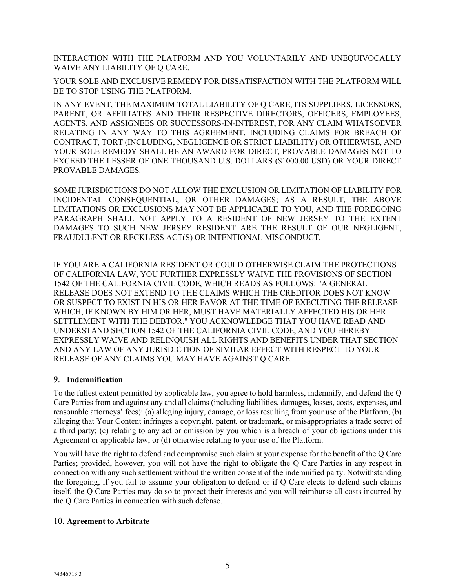INTERACTION WITH THE PLATFORM AND YOU VOLUNTARILY AND UNEQUIVOCALLY WAIVE ANY LIABILITY OF Q CARE.

YOUR SOLE AND EXCLUSIVE REMEDY FOR DISSATISFACTION WITH THE PLATFORM WILL BE TO STOP USING THE PLATFORM.

IN ANY EVENT, THE MAXIMUM TOTAL LIABILITY OF Q CARE, ITS SUPPLIERS, LICENSORS, PARENT, OR AFFILIATES AND THEIR RESPECTIVE DIRECTORS, OFFICERS, EMPLOYEES, AGENTS, AND ASSIGNEES OR SUCCESSORS-IN-INTEREST, FOR ANY CLAIM WHATSOEVER RELATING IN ANY WAY TO THIS AGREEMENT, INCLUDING CLAIMS FOR BREACH OF CONTRACT, TORT (INCLUDING, NEGLIGENCE OR STRICT LIABILITY) OR OTHERWISE, AND YOUR SOLE REMEDY SHALL BE AN AWARD FOR DIRECT, PROVABLE DAMAGES NOT TO EXCEED THE LESSER OF ONE THOUSAND U.S. DOLLARS (\$1000.00 USD) OR YOUR DIRECT PROVABLE DAMAGES.

SOME JURISDICTIONS DO NOT ALLOW THE EXCLUSION OR LIMITATION OF LIABILITY FOR INCIDENTAL CONSEQUENTIAL, OR OTHER DAMAGES; AS A RESULT, THE ABOVE LIMITATIONS OR EXCLUSIONS MAY NOT BE APPLICABLE TO YOU, AND THE FOREGOING PARAGRAPH SHALL NOT APPLY TO A RESIDENT OF NEW JERSEY TO THE EXTENT DAMAGES TO SUCH NEW JERSEY RESIDENT ARE THE RESULT OF OUR NEGLIGENT, FRAUDULENT OR RECKLESS ACT(S) OR INTENTIONAL MISCONDUCT.

IF YOU ARE A CALIFORNIA RESIDENT OR COULD OTHERWISE CLAIM THE PROTECTIONS OF CALIFORNIA LAW, YOU FURTHER EXPRESSLY WAIVE THE PROVISIONS OF SECTION 1542 OF THE CALIFORNIA CIVIL CODE, WHICH READS AS FOLLOWS: "A GENERAL RELEASE DOES NOT EXTEND TO THE CLAIMS WHICH THE CREDITOR DOES NOT KNOW OR SUSPECT TO EXIST IN HIS OR HER FAVOR AT THE TIME OF EXECUTING THE RELEASE WHICH, IF KNOWN BY HIM OR HER, MUST HAVE MATERIALLY AFFECTED HIS OR HER SETTLEMENT WITH THE DEBTOR." YOU ACKNOWLEDGE THAT YOU HAVE READ AND UNDERSTAND SECTION 1542 OF THE CALIFORNIA CIVIL CODE, AND YOU HEREBY EXPRESSLY WAIVE AND RELINQUISH ALL RIGHTS AND BENEFITS UNDER THAT SECTION AND ANY LAW OF ANY JURISDICTION OF SIMILAR EFFECT WITH RESPECT TO YOUR RELEASE OF ANY CLAIMS YOU MAY HAVE AGAINST Q CARE.

### <span id="page-4-0"></span>9. **Indemnification**

To the fullest extent permitted by applicable law, you agree to hold harmless, indemnify, and defend the Q Care Parties from and against any and all claims (including liabilities, damages, losses, costs, expenses, and reasonable attorneys' fees): (a) alleging injury, damage, or loss resulting from your use of the Platform; (b) alleging that Your Content infringes a copyright, patent, or trademark, or misappropriates a trade secret of a third party; (c) relating to any act or omission by you which is a breach of your obligations under this Agreement or applicable law; or (d) otherwise relating to your use of the Platform.

You will have the right to defend and compromise such claim at your expense for the benefit of the Q Care Parties; provided, however, you will not have the right to obligate the Q Care Parties in any respect in connection with any such settlement without the written consent of the indemnified party. Notwithstanding the foregoing, if you fail to assume your obligation to defend or if Q Care elects to defend such claims itself, the Q Care Parties may do so to protect their interests and you will reimburse all costs incurred by the Q Care Parties in connection with such defense.

### <span id="page-4-1"></span>10. **Agreement to Arbitrate**